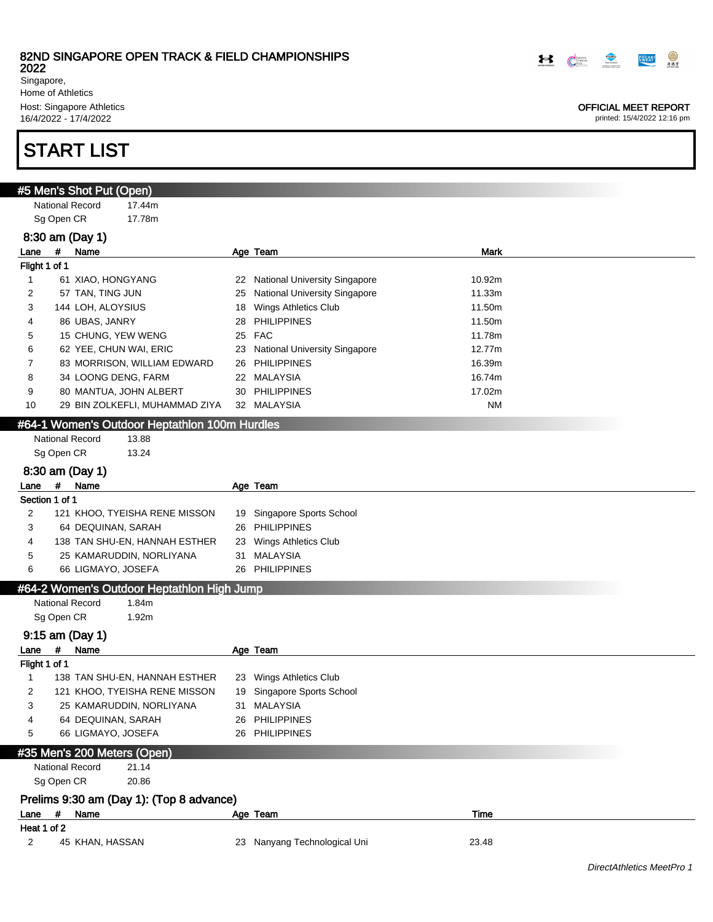2022

Singapore, Home of Athletics Host: Singapore Athletics 16/4/2022 - 17/4/2022

# START LIST

|                            | #5 Men's Shot Put (Open)    |                                               |        |                                  |           |
|----------------------------|-----------------------------|-----------------------------------------------|--------|----------------------------------|-----------|
|                            | <b>National Record</b>      | 17.44m                                        |        |                                  |           |
| Sg Open CR                 |                             | 17.78m                                        |        |                                  |           |
|                            | 8:30 am (Day 1)             |                                               |        |                                  |           |
| #<br>Lane                  | Name                        |                                               |        | Age Team                         | Mark      |
| Flight 1 of 1              |                             |                                               |        |                                  |           |
| 1                          | 61 XIAO, HONGYANG           |                                               |        | 22 National University Singapore | 10.92m    |
| 2                          | 57 TAN, TING JUN            |                                               |        | 25 National University Singapore | 11.33m    |
| 3                          | 144 LOH, ALOYSIUS           |                                               |        | 18 Wings Athletics Club          | 11.50m    |
| 4                          | 86 UBAS, JANRY              |                                               | 28     | <b>PHILIPPINES</b>               | 11.50m    |
| 5                          | 15 CHUNG, YEW WENG          |                                               | 25 FAC |                                  | 11.78m    |
| 6                          | 62 YEE, CHUN WAI, ERIC      |                                               |        | 23 National University Singapore | 12.77m    |
| 7                          |                             | 83 MORRISON, WILLIAM EDWARD                   |        | 26 PHILIPPINES                   | 16.39m    |
| 8                          | 34 LOONG DENG, FARM         |                                               |        | 22 MALAYSIA                      | 16.74m    |
| 9                          | 80 MANTUA, JOHN ALBERT      |                                               |        | 30 PHILIPPINES                   | 17.02m    |
| 10                         |                             | 29 BIN ZOLKEFLI, MUHAMMAD ZIYA                |        | 32 MALAYSIA                      | <b>NM</b> |
|                            |                             | #64-1 Women's Outdoor Heptathlon 100m Hurdles |        |                                  |           |
|                            | <b>National Record</b>      | 13.88                                         |        |                                  |           |
| Sg Open CR                 |                             | 13.24                                         |        |                                  |           |
|                            | 8:30 am (Day 1)             |                                               |        |                                  |           |
| #<br>Lane                  | Name                        |                                               |        | Age Team                         |           |
| Section 1 of 1             |                             |                                               |        |                                  |           |
| 2                          |                             | 121 KHOO, TYEISHA RENE MISSON                 |        | 19 Singapore Sports School       |           |
| 3                          | 64 DEQUINAN, SARAH          |                                               |        | 26 PHILIPPINES                   |           |
| 4                          |                             | 138 TAN SHU-EN, HANNAH ESTHER                 |        | 23 Wings Athletics Club          |           |
| 5                          |                             | 25 KAMARUDDIN, NORLIYANA                      |        | 31 MALAYSIA                      |           |
| 6                          | 66 LIGMAYO, JOSEFA          |                                               |        | 26 PHILIPPINES                   |           |
|                            |                             | #64-2 Women's Outdoor Heptathlon High Jump    |        |                                  |           |
|                            | <b>National Record</b>      | 1.84m                                         |        |                                  |           |
| Sg Open CR                 |                             | 1.92m                                         |        |                                  |           |
|                            |                             |                                               |        |                                  |           |
|                            | 9:15 am (Day 1)             |                                               |        |                                  |           |
| #<br>Lane<br>Flight 1 of 1 | Name                        |                                               |        | Age Team                         |           |
| 1                          |                             | 138 TAN SHU-EN, HANNAH ESTHER                 |        | 23 Wings Athletics Club          |           |
| 2                          |                             | 121 KHOO, TYEISHA RENE MISSON                 |        | 19 Singapore Sports School       |           |
| 3                          |                             | 25 KAMARUDDIN, NORLIYANA                      |        | 31 MALAYSIA                      |           |
| 4                          | 64 DEQUINAN, SARAH          |                                               | 26     | <b>PHILIPPINES</b>               |           |
| 5                          | 66 LIGMAYO, JOSEFA          |                                               |        | 26 PHILIPPINES                   |           |
|                            |                             |                                               |        |                                  |           |
|                            | #35 Men's 200 Meters (Open) |                                               |        |                                  |           |
|                            | <b>National Record</b>      | 21.14                                         |        |                                  |           |
| Sg Open CR                 |                             | 20.86                                         |        |                                  |           |
|                            |                             | Prelims 9:30 am (Day 1): (Top 8 advance)      |        |                                  |           |
| #<br>Lane                  | Name                        |                                               |        | Age Team                         | Time      |
| Heat 1 of 2                |                             |                                               |        |                                  |           |
| 2                          | 45 KHAN, HASSAN             |                                               |        | 23 Nanyang Technological Uni     | 23.48     |



#### OFFICIAL MEET REPORT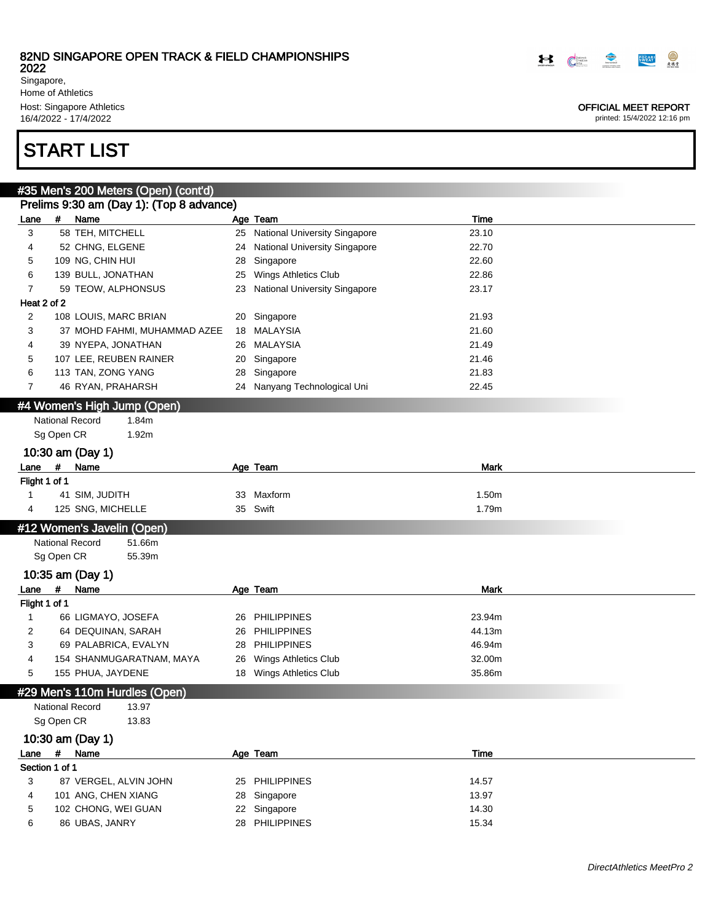Singapore, Home of Athletics Host: Singapore Athletics 16/4/2022 - 17/4/2022

# START LIST

|                       |            | #35 Men's 200 Meters (Open) (cont'd)     |    |                                      |             |  |
|-----------------------|------------|------------------------------------------|----|--------------------------------------|-------------|--|
|                       |            | Prelims 9:30 am (Day 1): (Top 8 advance) |    |                                      |             |  |
| Lane                  | #          | Name                                     |    | Age Team                             | Time        |  |
| 3                     |            | 58 TEH, MITCHELL                         |    | 25 National University Singapore     | 23.10       |  |
| 4                     |            | 52 CHNG, ELGENE                          | 24 | <b>National University Singapore</b> | 22.70       |  |
| 5                     |            | 109 NG, CHIN HUI                         | 28 | Singapore                            | 22.60       |  |
| 6                     |            | 139 BULL, JONATHAN                       | 25 | Wings Athletics Club                 | 22.86       |  |
| 7                     |            | 59 TEOW, ALPHONSUS                       | 23 | <b>National University Singapore</b> | 23.17       |  |
| Heat 2 of 2           |            |                                          |    |                                      |             |  |
| $\overline{2}$        |            | 108 LOUIS, MARC BRIAN                    |    | 20 Singapore                         | 21.93       |  |
| 3                     |            | 37 MOHD FAHMI, MUHAMMAD AZEE             |    | 18 MALAYSIA                          | 21.60       |  |
| 4                     |            | 39 NYEPA, JONATHAN                       |    | 26 MALAYSIA                          | 21.49       |  |
| 5                     |            | 107 LEE, REUBEN RAINER                   | 20 | Singapore                            | 21.46       |  |
| 6                     |            | 113 TAN, ZONG YANG                       | 28 | Singapore                            | 21.83       |  |
| 7                     |            | 46 RYAN, PRAHARSH                        |    | 24 Nanyang Technological Uni         | 22.45       |  |
|                       |            | #4 Women's High Jump (Open)              |    |                                      |             |  |
|                       |            | <b>National Record</b><br>1.84m          |    |                                      |             |  |
|                       | Sg Open CR | 1.92m                                    |    |                                      |             |  |
|                       |            |                                          |    |                                      |             |  |
|                       | $\pmb{\#}$ | 10:30 am (Day 1)<br>Name                 |    |                                      | <b>Mark</b> |  |
| Lane<br>Flight 1 of 1 |            |                                          |    | Age Team                             |             |  |
| 1                     |            | 41 SIM, JUDITH                           |    | 33 Maxform                           | 1.50m       |  |
| 4                     |            | 125 SNG, MICHELLE                        |    | 35 Swift                             | 1.79m       |  |
|                       |            |                                          |    |                                      |             |  |
|                       |            | #12 Women's Javelin (Open)               |    |                                      |             |  |
|                       |            | <b>National Record</b><br>51.66m         |    |                                      |             |  |
|                       | Sg Open CR | 55.39m                                   |    |                                      |             |  |
|                       |            | 10:35 am (Day 1)                         |    |                                      |             |  |
| Lane                  | #          | Name                                     |    | Age Team                             | <b>Mark</b> |  |
| Flight 1 of 1         |            |                                          |    |                                      |             |  |
| $\mathbf{1}$          |            | 66 LIGMAYO, JOSEFA                       |    | 26 PHILIPPINES                       | 23.94m      |  |
| $\overline{2}$        |            | 64 DEQUINAN, SARAH                       |    | 26 PHILIPPINES                       | 44.13m      |  |
| 3                     |            | 69 PALABRICA, EVALYN                     | 28 | <b>PHILIPPINES</b>                   | 46.94m      |  |
| 4                     |            | 154 SHANMUGARATNAM, MAYA                 | 26 | Wings Athletics Club                 | 32.00m      |  |
| 5                     |            | 155 PHUA, JAYDENE                        |    | 18 Wings Athletics Club              | 35.86m      |  |
|                       |            | #29 Men's 110m Hurdles (Open)            |    |                                      |             |  |
|                       |            | National Record<br>13.97                 |    |                                      |             |  |
|                       | Sg Open CR | 13.83                                    |    |                                      |             |  |
|                       |            | 10:30 am (Day 1)                         |    |                                      |             |  |
| Lane                  | $\pmb{\#}$ | Name                                     |    | Age Team                             | Time        |  |
| Section 1 of 1        |            |                                          |    |                                      |             |  |
| 3                     |            | 87 VERGEL, ALVIN JOHN                    |    | 25 PHILIPPINES                       | 14.57       |  |
| 4                     |            | 101 ANG, CHEN XIANG                      |    | 28 Singapore                         | 13.97       |  |
| 5                     |            | 102 CHONG, WEI GUAN                      |    | 22 Singapore                         | 14.30       |  |
| 6                     |            | 86 UBAS, JANRY                           |    | 28 PHILIPPINES                       | 15.34       |  |
|                       |            |                                          |    |                                      |             |  |



OFFICIAL MEET REPORT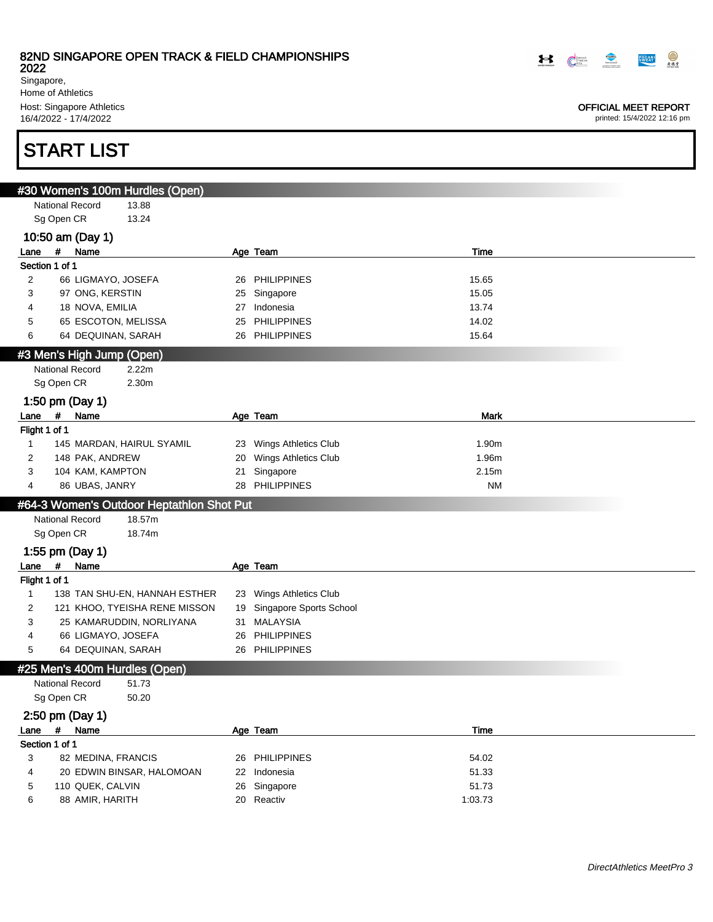2022

Singapore, Home of Athletics Host: Singapore Athletics 16/4/2022 - 17/4/2022

# START LIST

|                |                               | #30 Women's 100m Hurdles (Open)           |    |                            |             |
|----------------|-------------------------------|-------------------------------------------|----|----------------------------|-------------|
|                | <b>National Record</b>        | 13.88                                     |    |                            |             |
|                | Sg Open CR                    | 13.24                                     |    |                            |             |
|                | 10:50 am (Day 1)              |                                           |    |                            |             |
| Lane           | # Name                        |                                           |    | Age Team                   | Time        |
| Section 1 of 1 |                               |                                           |    |                            |             |
| 2              | 66 LIGMAYO, JOSEFA            |                                           |    | 26 PHILIPPINES             | 15.65       |
| 3              | 97 ONG, KERSTIN               |                                           |    | 25 Singapore               | 15.05       |
| 4              | 18 NOVA, EMILIA               |                                           |    | 27 Indonesia               | 13.74       |
| 5              | 65 ESCOTON, MELISSA           |                                           | 25 | <b>PHILIPPINES</b>         | 14.02       |
| 6              | 64 DEQUINAN, SARAH            |                                           |    | 26 PHILIPPINES             | 15.64       |
|                | #3 Men's High Jump (Open)     |                                           |    |                            |             |
|                | <b>National Record</b>        | 2.22m                                     |    |                            |             |
|                | Sg Open CR                    | 2.30m                                     |    |                            |             |
|                | 1:50 pm (Day 1)               |                                           |    |                            |             |
| Lane           | #<br>Name                     |                                           |    | Age Team                   | <b>Mark</b> |
| Flight 1 of 1  |                               |                                           |    |                            |             |
| 1              |                               | 145 MARDAN, HAIRUL SYAMIL                 |    | 23 Wings Athletics Club    | 1.90m       |
| 2              | 148 PAK, ANDREW               |                                           | 20 | Wings Athletics Club       | 1.96m       |
| 3              | 104 KAM, KAMPTON              |                                           | 21 | Singapore                  | 2.15m       |
| 4              | 86 UBAS, JANRY                |                                           |    | 28 PHILIPPINES             | <b>NM</b>   |
|                |                               | #64-3 Women's Outdoor Heptathlon Shot Put |    |                            |             |
|                | <b>National Record</b>        | 18.57m                                    |    |                            |             |
|                | Sg Open CR                    | 18.74m                                    |    |                            |             |
|                |                               |                                           |    |                            |             |
|                | 1:55 pm (Day 1)               |                                           |    |                            |             |
| Lane           | $\#$<br>Name                  |                                           |    | Age Team                   |             |
| Flight 1 of 1  |                               |                                           |    |                            |             |
| 1              |                               | 138 TAN SHU-EN, HANNAH ESTHER             |    | 23 Wings Athletics Club    |             |
| 2              |                               | 121 KHOO, TYEISHA RENE MISSON             |    | 19 Singapore Sports School |             |
| 3              |                               | 25 KAMARUDDIN, NORLIYANA                  |    | 31 MALAYSIA                |             |
| 4              | 66 LIGMAYO, JOSEFA            |                                           | 26 | <b>PHILIPPINES</b>         |             |
| 5              | 64 DEQUINAN, SARAH            |                                           |    | 26 PHILIPPINES             |             |
|                | #25 Men's 400m Hurdles (Open) |                                           |    |                            |             |
|                | <b>National Record</b>        | 51.73                                     |    |                            |             |
|                | Sg Open CR                    | 50.20                                     |    |                            |             |
|                | 2:50 pm (Day 1)               |                                           |    |                            |             |
| Lane           | #<br>Name                     |                                           |    | Age Team                   | Time        |
| Section 1 of 1 |                               |                                           |    |                            |             |
| 3              | 82 MEDINA, FRANCIS            |                                           |    | 26 PHILIPPINES             | 54.02       |
| 4              |                               | 20 EDWIN BINSAR, HALOMOAN                 |    | 22 Indonesia               | 51.33       |
| 5              | 110 QUEK, CALVIN              |                                           |    | 26 Singapore               | 51.73       |
| 6              | 88 AMIR, HARITH               |                                           |    | 20 Reactiv                 | 1:03.73     |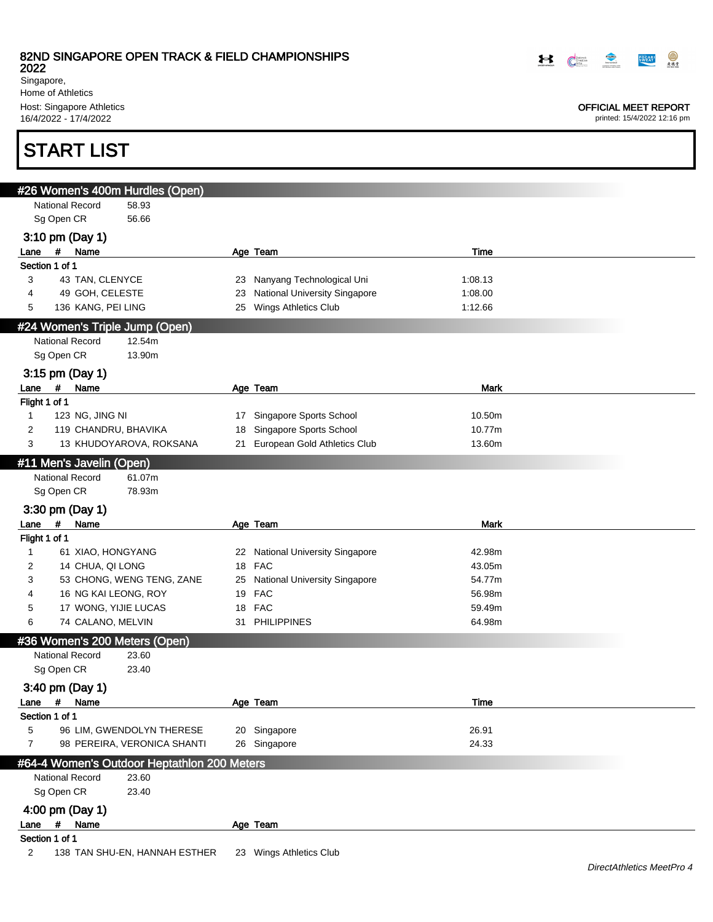2022

Singapore, Home of Athletics Host: Singapore Athletics 16/4/2022 - 17/4/2022

# START LIST

| <u>#26 Wom</u> en's 400m Hurdles (Open)          |    |                                      |         |
|--------------------------------------------------|----|--------------------------------------|---------|
| <b>National Record</b><br>58.93                  |    |                                      |         |
| Sg Open CR<br>56.66                              |    |                                      |         |
| 3:10 pm (Day 1)                                  |    |                                      |         |
| # Name<br>Lane                                   |    | Age Team                             | Time    |
| Section 1 of 1                                   |    |                                      |         |
| 43 TAN, CLENYCE<br>3                             |    | 23 Nanyang Technological Uni         | 1:08.13 |
| 49 GOH, CELESTE<br>4                             | 23 | <b>National University Singapore</b> | 1:08.00 |
| 136 KANG, PEI LING<br>5                          |    | 25 Wings Athletics Club              | 1:12.66 |
| #24 Women's Triple Jump (Open)                   |    |                                      |         |
| <b>National Record</b><br>12.54m                 |    |                                      |         |
| Sg Open CR<br>13.90m                             |    |                                      |         |
| 3:15 pm (Day 1)                                  |    |                                      |         |
| #<br>Name<br>Lane                                |    | Age Team                             | Mark    |
| Flight 1 of 1                                    |    |                                      |         |
| 123 NG, JING NI<br>1                             |    | 17 Singapore Sports School           | 10.50m  |
| 119 CHANDRU, BHAVIKA<br>2                        | 18 | Singapore Sports School              | 10.77m  |
| 3<br>13 KHUDOYAROVA, ROKSANA                     |    | 21 European Gold Athletics Club      | 13.60m  |
| #11 Men's Javelin (Open)                         |    |                                      |         |
| <b>National Record</b><br>61.07m                 |    |                                      |         |
| Sg Open CR<br>78.93m                             |    |                                      |         |
|                                                  |    |                                      |         |
| 3:30 pm (Day 1)<br>$\#$                          |    |                                      |         |
| Name<br>Lane<br>Flight 1 of 1                    |    | Age Team                             | Mark    |
| 61 XIAO, HONGYANG<br>1                           |    | 22 National University Singapore     | 42.98m  |
| 14 CHUA, QI LONG<br>2                            |    | 18 FAC                               | 43.05m  |
| 53 CHONG, WENG TENG, ZANE<br>3                   |    | 25 National University Singapore     | 54.77m  |
| 16 NG KAI LEONG, ROY<br>4                        |    | 19 FAC                               | 56.98m  |
| 17 WONG, YIJIE LUCAS<br>5                        |    | 18 FAC                               | 59.49m  |
| 74 CALANO, MELVIN<br>6                           | 31 | <b>PHILIPPINES</b>                   | 64.98m  |
| #36 Women's 200 Meters (Open)                    |    |                                      |         |
| <b>National Record</b><br>23.60                  |    |                                      |         |
| Sg Open CR<br>23.40                              |    |                                      |         |
|                                                  |    |                                      |         |
| 3:40 pm (Day 1)                                  |    |                                      |         |
| #<br>Name<br>Lane                                |    | Age Team                             | Time    |
| Section 1 of 1<br>5<br>96 LIM, GWENDOLYN THERESE |    |                                      | 26.91   |
| 7<br>98 PEREIRA, VERONICA SHANTI                 |    | 20 Singapore<br>26 Singapore         | 24.33   |
|                                                  |    |                                      |         |
| #64-4 Women's Outdoor Heptathlon 200 Meters      |    |                                      |         |
| <b>National Record</b><br>23.60                  |    |                                      |         |
| Sg Open CR<br>23.40                              |    |                                      |         |
| 4:00 pm (Day 1)                                  |    |                                      |         |
| #<br>Name<br>Lane                                |    | Age Team                             |         |
| Section 1 of 1                                   |    |                                      |         |
| 2<br>138 TAN SHU-EN, HANNAH ESTHER               |    | 23 Wings Athletics Club              |         |

**FOCART REAL**  $\begin{picture}(20,10) \put(0,0){\line(1,0){10}} \put(15,0){\line(1,0){10}} \put(15,0){\line(1,0){10}} \put(15,0){\line(1,0){10}} \put(15,0){\line(1,0){10}} \put(15,0){\line(1,0){10}} \put(15,0){\line(1,0){10}} \put(15,0){\line(1,0){10}} \put(15,0){\line(1,0){10}} \put(15,0){\line(1,0){10}} \put(15,0){\line(1,0){10}} \put(15,0){\line(1$ 

#### OFFICIAL MEET REPORT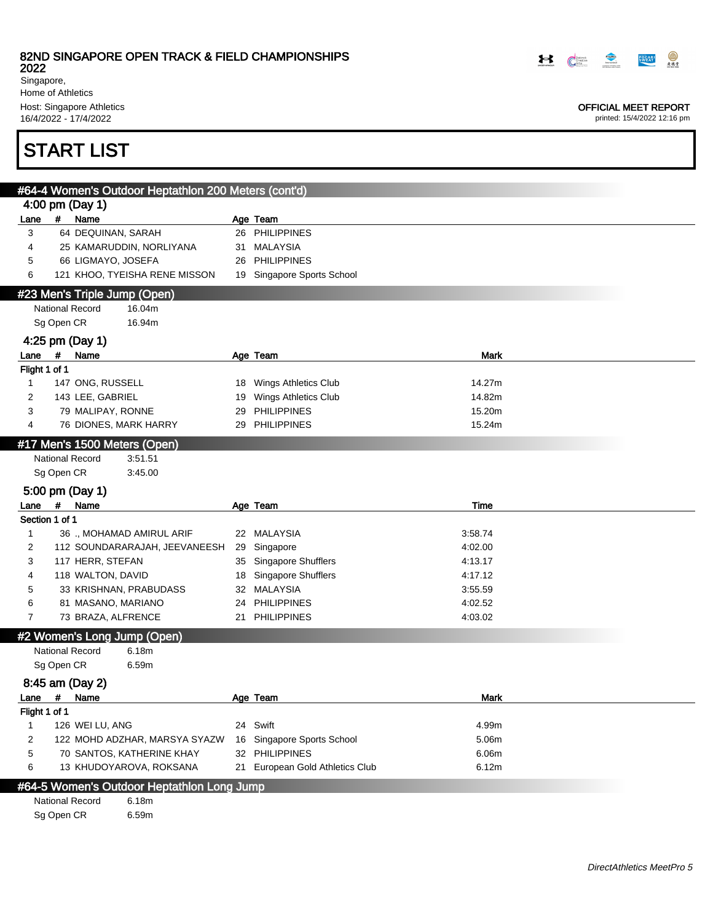2022

Singapore, Home of Athletics Host: Singapore Athletics

16/4/2022 - 17/4/2022

# START LIST

|                               | #64-4 Women's Outdoor Heptathlon 200 Meters (cont'd)           |    |                                                   |                |
|-------------------------------|----------------------------------------------------------------|----|---------------------------------------------------|----------------|
|                               | 4:00 pm (Day 1)                                                |    |                                                   |                |
| Lane                          | # Name                                                         |    | Age Team                                          |                |
| 3                             | 64 DEQUINAN, SARAH                                             |    | 26 PHILIPPINES                                    |                |
| 4                             | 25 KAMARUDDIN, NORLIYANA                                       |    | 31 MALAYSIA                                       |                |
| 5                             | 66 LIGMAYO, JOSEFA                                             |    | 26 PHILIPPINES                                    |                |
| 6                             | 121 KHOO, TYEISHA RENE MISSON                                  |    | 19 Singapore Sports School                        |                |
|                               | #23 Men's Triple Jump (Open)                                   |    |                                                   |                |
|                               | <b>National Record</b><br>16.04m                               |    |                                                   |                |
|                               | Sg Open CR<br>16.94m                                           |    |                                                   |                |
|                               | 4:25 pm (Day 1)                                                |    |                                                   |                |
| Lane                          | #<br>Name                                                      |    | Age Team                                          | Mark           |
| Flight 1 of 1                 |                                                                |    |                                                   |                |
| $\mathbf{1}$                  | 147 ONG, RUSSELL                                               |    | 18 Wings Athletics Club                           | 14.27m         |
| 2                             | 143 LEE, GABRIEL                                               |    | 19 Wings Athletics Club                           | 14.82m         |
| 3                             | 79 MALIPAY, RONNE                                              | 29 | <b>PHILIPPINES</b>                                | 15.20m         |
| 4                             | 76 DIONES, MARK HARRY                                          |    | 29 PHILIPPINES                                    | 15.24m         |
|                               | #17 Men's 1500 Meters (Open)                                   |    |                                                   |                |
|                               | <b>National Record</b><br>3:51.51                              |    |                                                   |                |
|                               | Sg Open CR<br>3:45.00                                          |    |                                                   |                |
|                               |                                                                |    |                                                   |                |
|                               |                                                                |    |                                                   |                |
|                               | 5:00 pm (Day 1)                                                |    |                                                   |                |
| Lane                          | #<br>Name<br>Section 1 of 1                                    |    | Age Team                                          | Time           |
| $\mathbf{1}$                  | 36 ., MOHAMAD AMIRUL ARIF                                      |    | 22 MALAYSIA                                       | 3:58.74        |
| $\overline{2}$                | 112 SOUNDARARAJAH, JEEVANEESH                                  | 29 | Singapore                                         | 4:02.00        |
| 3                             | 117 HERR, STEFAN                                               |    | 35 Singapore Shufflers                            | 4:13.17        |
| 4                             | 118 WALTON, DAVID                                              |    | 18 Singapore Shufflers                            | 4:17.12        |
| 5                             | 33 KRISHNAN, PRABUDASS                                         |    | 32 MALAYSIA                                       | 3:55.59        |
| 6                             | 81 MASANO, MARIANO                                             |    | 24 PHILIPPINES                                    | 4:02.52        |
| $\overline{7}$                | 73 BRAZA, ALFRENCE                                             | 21 | <b>PHILIPPINES</b>                                | 4:03.02        |
|                               |                                                                |    |                                                   |                |
|                               | #2 Women's Long Jump (Open)<br><b>National Record</b><br>6.18m |    |                                                   |                |
|                               | Sg Open CR<br>6.59m                                            |    |                                                   |                |
|                               |                                                                |    |                                                   |                |
|                               | 8:45 am (Day 2)                                                |    |                                                   |                |
| Lane                          | #<br>Name                                                      |    | Age Team                                          | Mark           |
| Flight 1 of 1<br>$\mathbf{1}$ |                                                                |    |                                                   |                |
|                               | 126 WEI LU, ANG                                                |    | 24 Swift                                          | 4.99m          |
| $\overline{2}$                | 122 MOHD ADZHAR, MARSYA SYAZW                                  |    | 16 Singapore Sports School                        | 5.06m          |
| $\mathbf 5$<br>6              | 70 SANTOS, KATHERINE KHAY<br>13 KHUDOYAROVA, ROKSANA           |    | 32 PHILIPPINES<br>21 European Gold Athletics Club | 6.06m<br>6.12m |

#### #64-5 Women's Outdoor Heptathlon Long Jump National Record 6.18m

Sg Open CR 6.59m

**EOCARD**  $\mathbf{B}$   $\mathbb{C}^{\text{const}}$   $\mathbb{C}^{\mathbb{C}}$ 

#### OFFICIAL MEET REPORT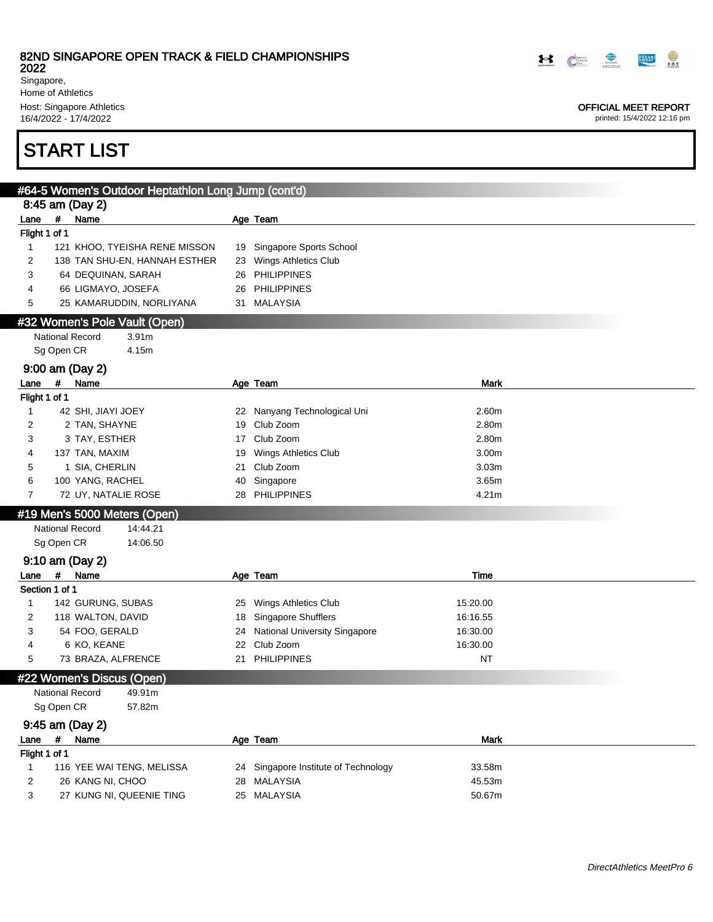2022

Singapore, Home of Athletics Host: Singapore Athletics

16/4/2022 - 17/4/2022

# START LIST

|                       |            | #64-5 Women's Outdoor Heptathlon Long Jump (cont'd) |    |                                      |             |  |
|-----------------------|------------|-----------------------------------------------------|----|--------------------------------------|-------------|--|
|                       | $\pmb{\#}$ | 8:45 am (Day 2)                                     |    |                                      |             |  |
| Lane<br>Flight 1 of 1 |            | Name                                                |    | Age Team                             |             |  |
| $\mathbf{1}$          |            | 121 KHOO, TYEISHA RENE MISSON                       | 19 | Singapore Sports School              |             |  |
| 2                     |            | 138 TAN SHU-EN, HANNAH ESTHER                       | 23 | Wings Athletics Club                 |             |  |
| 3                     |            | 64 DEQUINAN, SARAH                                  |    | 26 PHILIPPINES                       |             |  |
| 4                     |            | 66 LIGMAYO, JOSEFA                                  |    | 26 PHILIPPINES                       |             |  |
| 5                     |            | 25 KAMARUDDIN, NORLIYANA                            |    | 31 MALAYSIA                          |             |  |
|                       |            | #32 Women's Pole Vault (Open)                       |    |                                      |             |  |
|                       |            | <b>National Record</b><br>3.91m                     |    |                                      |             |  |
|                       | Sg Open CR | 4.15m                                               |    |                                      |             |  |
|                       |            | 9:00 am (Day 2)                                     |    |                                      |             |  |
| Lane                  | #          | Name                                                |    | Age Team                             | <b>Mark</b> |  |
| Flight 1 of 1         |            |                                                     |    |                                      |             |  |
| 1                     |            | 42 SHI, JIAYI JOEY                                  | 22 | Nanyang Technological Uni            | 2.60m       |  |
| 2                     |            | 2 TAN, SHAYNE                                       | 19 | Club Zoom                            | 2.80m       |  |
| 3                     |            | 3 TAY, ESTHER                                       | 17 | Club Zoom                            | 2.80m       |  |
| 4                     |            | 137 TAN, MAXIM                                      | 19 | Wings Athletics Club                 | 3.00m       |  |
| 5                     |            | 1 SIA, CHERLIN                                      | 21 | Club Zoom                            | 3.03m       |  |
| 6                     |            | 100 YANG, RACHEL                                    | 40 | Singapore                            | 3.65m       |  |
| 7                     |            | 72 UY, NATALIE ROSE                                 |    | 28 PHILIPPINES                       | 4.21m       |  |
|                       |            | #19 Men's 5000 Meters (Open)                        |    |                                      |             |  |
|                       |            | <b>National Record</b><br>14:44.21                  |    |                                      |             |  |
|                       | Sg Open CR | 14:06.50                                            |    |                                      |             |  |
|                       |            | 9:10 am (Day 2)                                     |    |                                      |             |  |
| Lane                  | #          | Name                                                |    | Age Team                             | Time        |  |
| Section 1 of 1        |            |                                                     |    |                                      |             |  |
| $\mathbf{1}$          |            | 142 GURUNG, SUBAS                                   | 25 | Wings Athletics Club                 | 15:20.00    |  |
| 2                     |            | 118 WALTON, DAVID                                   | 18 | <b>Singapore Shufflers</b>           | 16:16.55    |  |
| 3                     |            | 54 FOO, GERALD                                      | 24 | <b>National University Singapore</b> | 16:30.00    |  |
| 4                     |            | 6 KO, KEANE                                         | 22 | Club Zoom                            | 16:30.00    |  |
| 5                     |            | 73 BRAZA, ALFRENCE                                  | 21 | <b>PHILIPPINES</b>                   | <b>NT</b>   |  |
|                       |            | #22 Women's Discus (Open)                           |    |                                      |             |  |
|                       |            | National Record<br>49.91m                           |    |                                      |             |  |
|                       | Sg Open CR | 57.82m                                              |    |                                      |             |  |
|                       |            | 9:45 am (Day 2)                                     |    |                                      |             |  |
| Lane                  | #          | Name                                                |    | Age Team                             | <b>Mark</b> |  |
| Flight 1 of 1         |            |                                                     |    |                                      |             |  |
| $\mathbf{1}$          |            | 116 YEE WAI TENG, MELISSA                           |    | 24 Singapore Institute of Technology | 33.58m      |  |
| 2                     |            | 26 KANG NI, CHOO                                    |    | 28 MALAYSIA                          | 45.53m      |  |



#### OFFICIAL MEET REPORT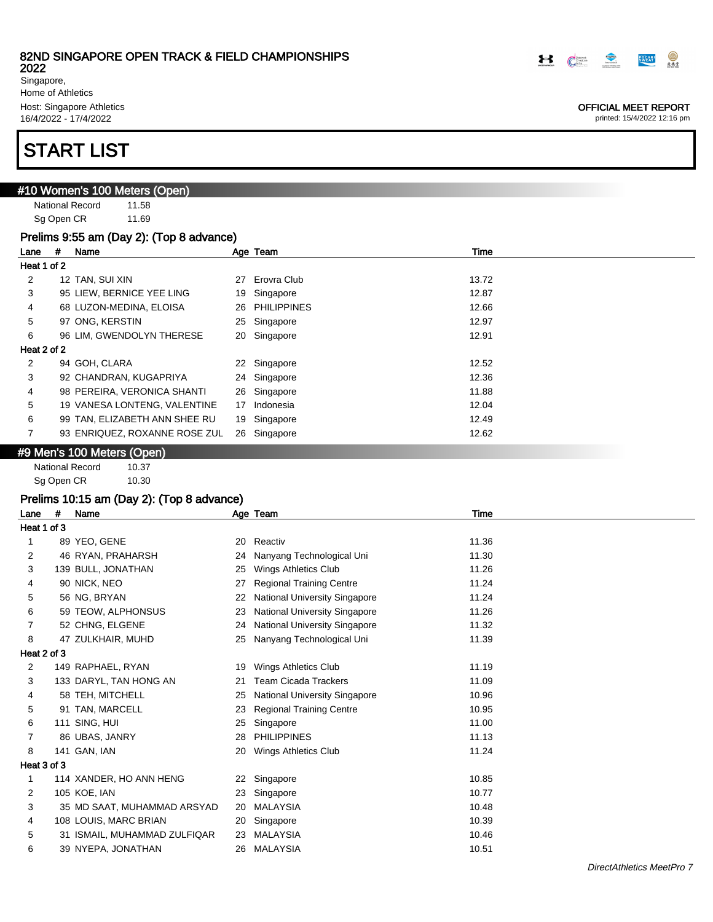2022

Singapore, Home of Athletics Host: Singapore Athletics 16/4/2022 - 17/4/2022

# START LIST

## #10 Women's 100 Meters (Open)

National Record 11.58 Sg Open CR 11.69

#### Prelims 9:55 am (Day 2): (Top 8 advance)

OFFICIAL MEET REPORT printed: 15/4/2022 12:16 pm

**POCARI** 

 $\bigcirc$ 

| Lane        | # | Name                          |    | Age Team       | Time  |
|-------------|---|-------------------------------|----|----------------|-------|
| Heat 1 of 2 |   |                               |    |                |       |
| 2           |   | 12 TAN, SUI XIN               | 27 | Erovra Club    | 13.72 |
| 3           |   | 95 LIEW, BERNICE YEE LING     | 19 | Singapore      | 12.87 |
| 4           |   | 68 LUZON-MEDINA, ELOISA       |    | 26 PHILIPPINES | 12.66 |
| 5           |   | 97 ONG, KERSTIN               |    | 25 Singapore   | 12.97 |
| 6           |   | 96 LIM, GWENDOLYN THERESE     |    | 20 Singapore   | 12.91 |
| Heat 2 of 2 |   |                               |    |                |       |
| 2           |   | 94 GOH, CLARA                 | 22 | Singapore      | 12.52 |
| 3           |   | 92 CHANDRAN, KUGAPRIYA        |    | 24 Singapore   | 12.36 |
| 4           |   | 98 PEREIRA, VERONICA SHANTI   |    | 26 Singapore   | 11.88 |
| 5           |   | 19 VANESA LONTENG, VALENTINE  | 17 | Indonesia      | 12.04 |
| 6           |   | 99 TAN, ELIZABETH ANN SHEE RU | 19 | Singapore      | 12.49 |
| 7           |   | 93 ENRIQUEZ, ROXANNE ROSE ZUL |    | 26 Singapore   | 12.62 |

#### #9 Men's 100 Meters (Open)

National Record 10.37 Sg Open CR 10.30

## Prelims 10:15 am (Day 2): (Top 8 advance)

| Lane        | # | Name                         |    | Age Team                             | Time  |
|-------------|---|------------------------------|----|--------------------------------------|-------|
| Heat 1 of 3 |   |                              |    |                                      |       |
| 1           |   | 89 YEO, GENE                 | 20 | Reactiv                              | 11.36 |
| 2           |   | 46 RYAN, PRAHARSH            | 24 | Nanyang Technological Uni            | 11.30 |
| 3           |   | 139 BULL, JONATHAN           | 25 | Wings Athletics Club                 | 11.26 |
| 4           |   | 90 NICK, NEO                 | 27 | <b>Regional Training Centre</b>      | 11.24 |
| 5           |   | 56 NG, BRYAN                 | 22 | National University Singapore        | 11.24 |
| 6           |   | 59 TEOW, ALPHONSUS           | 23 | <b>National University Singapore</b> | 11.26 |
| 7           |   | 52 CHNG, ELGENE              | 24 | National University Singapore        | 11.32 |
| 8           |   | 47 ZULKHAIR, MUHD            | 25 | Nanyang Technological Uni            | 11.39 |
| Heat 2 of 3 |   |                              |    |                                      |       |
| 2           |   | 149 RAPHAEL, RYAN            | 19 | Wings Athletics Club                 | 11.19 |
| 3           |   | 133 DARYL, TAN HONG AN       | 21 | Team Cicada Trackers                 | 11.09 |
| 4           |   | 58 TEH, MITCHELL             | 25 | National University Singapore        | 10.96 |
| 5           |   | 91 TAN, MARCELL              | 23 | <b>Regional Training Centre</b>      | 10.95 |
| 6           |   | 111 SING, HUI                | 25 | Singapore                            | 11.00 |
| 7           |   | 86 UBAS, JANRY               | 28 | <b>PHILIPPINES</b>                   | 11.13 |
| 8           |   | 141 GAN, IAN                 | 20 | Wings Athletics Club                 | 11.24 |
| Heat 3 of 3 |   |                              |    |                                      |       |
| 1           |   | 114 XANDER, HO ANN HENG      | 22 | Singapore                            | 10.85 |
| 2           |   | 105 KOE, IAN                 | 23 | Singapore                            | 10.77 |
| 3           |   | 35 MD SAAT, MUHAMMAD ARSYAD  | 20 | <b>MALAYSIA</b>                      | 10.48 |
| 4           |   | 108 LOUIS, MARC BRIAN        | 20 | Singapore                            | 10.39 |
| 5           |   | 31 ISMAIL, MUHAMMAD ZULFIQAR | 23 | MALAYSIA                             | 10.46 |
| 6           |   | 39 NYEPA, JONATHAN           | 26 | MALAYSIA                             | 10.51 |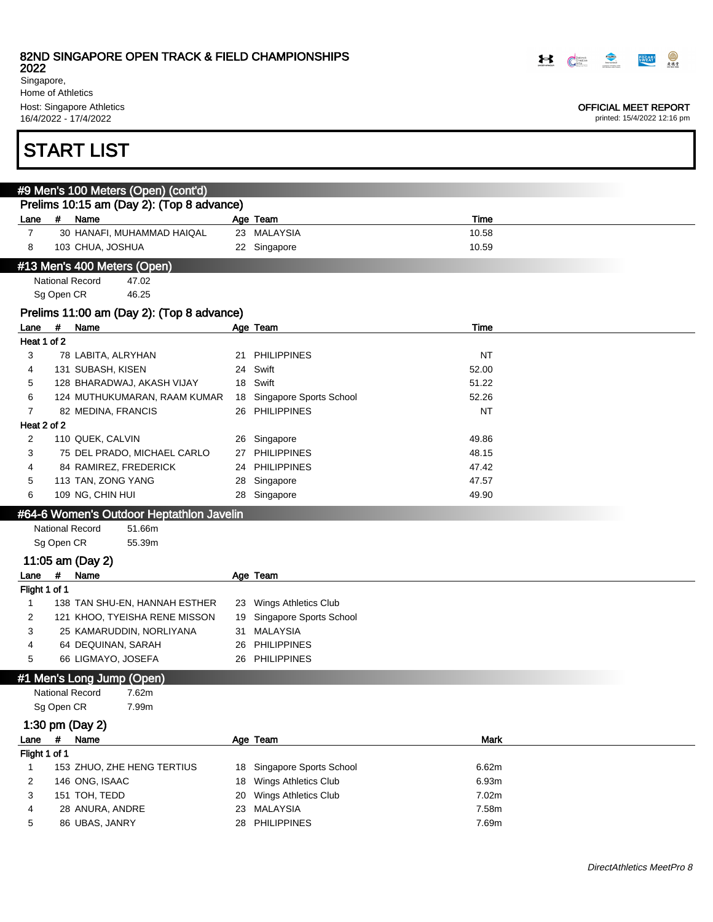2022 Singapore, Home of Athletics Host: Singapore Athletics

16/4/2022 - 17/4/2022

# START LIST

|                                           | #9 Men's 100 Meters (Open) (cont'd) |                            |  |              |       |  |  |  |  |  |
|-------------------------------------------|-------------------------------------|----------------------------|--|--------------|-------|--|--|--|--|--|
| Prelims 10:15 am (Day 2): (Top 8 advance) |                                     |                            |  |              |       |  |  |  |  |  |
| Lane                                      |                                     | Name                       |  | Age Team     | Time  |  |  |  |  |  |
|                                           |                                     | 30 HANAFI, MUHAMMAD HAIQAL |  | 23 MALAYSIA  | 10.58 |  |  |  |  |  |
|                                           |                                     | 103 CHUA, JOSHUA           |  | 22 Singapore | 10.59 |  |  |  |  |  |
| #13 Men's 400 Meters (Open)               |                                     |                            |  |              |       |  |  |  |  |  |

National Record 47.02 Sg Open CR 46.25

#### Prelims 11:00 am (Day 2): (Top 8 advance)

| Lane        | # | Name                         |    | Age Team                | Time      |
|-------------|---|------------------------------|----|-------------------------|-----------|
| Heat 1 of 2 |   |                              |    |                         |           |
| 3           |   | 78 LABITA, ALRYHAN           |    | 21 PHILIPPINES          | <b>NT</b> |
| 4           |   | 131 SUBASH, KISEN            |    | 24 Swift                | 52.00     |
| 5           |   | 128 BHARADWAJ, AKASH VIJAY   |    | 18 Swift                | 51.22     |
| 6           |   | 124 MUTHUKUMARAN, RAAM KUMAR | 18 | Singapore Sports School | 52.26     |
|             |   | 82 MEDINA, FRANCIS           |    | 26 PHILIPPINES          | <b>NT</b> |
| Heat 2 of 2 |   |                              |    |                         |           |
| 2           |   | 110 QUEK, CALVIN             | 26 | Singapore               | 49.86     |
| 3           |   | 75 DEL PRADO, MICHAEL CARLO  |    | 27 PHILIPPINES          | 48.15     |
| 4           |   | 84 RAMIREZ, FREDERICK        |    | 24 PHILIPPINES          | 47.42     |
| 5           |   | 113 TAN, ZONG YANG           |    | 28 Singapore            | 47.57     |
| 6           |   | 109 NG, CHIN HUI             | 28 | Singapore               | 49.90     |

#### #64-6 Women's Outdoor Heptathlon Javelin

National Record 51.66m Sg Open CR 55.39m

11:05 am (Day 2)

Lane # Name Manne Age Team Flight 1 of 1

- 
- 1 138 TAN SHU-EN, HANNAH ESTHER 23 Wings Athletics Club 2 121 KHOO, TYEISHA RENE MISSON 19 Singapore Sports School 3 25 KAMARUDDIN, NORLIYANA 31 MALAYSIA 4 64 DEQUINAN, SARAH 26 PHILIPPINES
	- 5 66 LIGMAYO, JOSEFA 26 PHILIPPINES

#### #1 Men's Long Jump (Open)

```
National Record 7.62m
```

```
Sg Open CR 7.99m
```
#### 1:30 pm (Day 2)

| Lane          | -# | Name                       | Age Team                   | <b>Mark</b> |
|---------------|----|----------------------------|----------------------------|-------------|
| Flight 1 of 1 |    |                            |                            |             |
|               |    | 153 ZHUO, ZHE HENG TERTIUS | 18 Singapore Sports School | 6.62m       |
|               |    | 146 ONG, ISAAC             | 18 Wings Athletics Club    | 6.93m       |
|               |    | 151 TOH, TEDD              | 20 Wings Athletics Club    | 7.02m       |
| 4             |    | 28 ANURA, ANDRE            | 23 MALAYSIA                | 7.58m       |
| 5             |    | 86 UBAS, JANRY             | 28 PHILIPPINES             | 7.69m       |



#### OFFICIAL MEET REPORT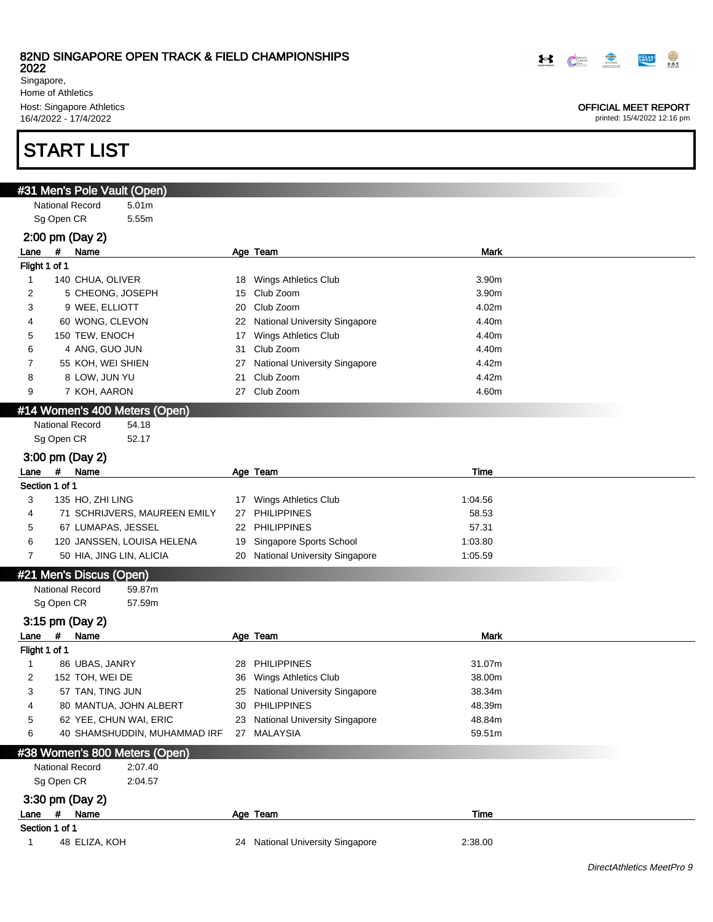2022

Singapore, Home of Athletics Host: Singapore Athletics 16/4/2022 - 17/4/2022

# START LIST

| #31 Men's Pole Vault (Open)       |    |                                  |         |  |
|-----------------------------------|----|----------------------------------|---------|--|
| National Record<br>5.01m          |    |                                  |         |  |
| 5.55m<br>Sg Open CR               |    |                                  |         |  |
| 2:00 pm (Day 2)                   |    |                                  |         |  |
| #<br>Name<br>Lane                 |    | Age Team                         | Mark    |  |
| Flight 1 of 1                     |    |                                  |         |  |
| 1<br>140 CHUA, OLIVER             |    | 18 Wings Athletics Club          | 3.90m   |  |
| 2<br>5 CHEONG, JOSEPH             |    | 15 Club Zoom                     | 3.90m   |  |
| 3<br>9 WEE, ELLIOTT               |    | 20 Club Zoom                     | 4.02m   |  |
| 60 WONG, CLEVON<br>4              |    | 22 National University Singapore | 4.40m   |  |
| 5<br>150 TEW, ENOCH               |    | 17 Wings Athletics Club          | 4.40m   |  |
| 6<br>4 ANG, GUO JUN               |    | 31 Club Zoom                     | 4.40m   |  |
| 7<br>55 KOH, WEI SHIEN            |    | 27 National University Singapore | 4.42m   |  |
| 8<br>8 LOW, JUN YU                | 21 | Club Zoom                        | 4.42m   |  |
| 7 KOH, AARON<br>9                 |    | 27 Club Zoom                     | 4.60m   |  |
| #14 Women's 400 Meters (Open)     |    |                                  |         |  |
| National Record<br>54.18          |    |                                  |         |  |
| Sg Open CR<br>52.17               |    |                                  |         |  |
| 3:00 pm (Day 2)                   |    |                                  |         |  |
| #<br>Name<br>Lane                 |    | Age Team                         | Time    |  |
| Section 1 of 1                    |    |                                  |         |  |
| 3<br>135 HO, ZHI LING             |    | 17 Wings Athletics Club          | 1:04.56 |  |
| 71 SCHRIJVERS, MAUREEN EMILY<br>4 |    | 27 PHILIPPINES                   | 58.53   |  |
| 67 LUMAPAS, JESSEL<br>5           |    | 22 PHILIPPINES                   | 57.31   |  |
| 6<br>120 JANSSEN, LOUISA HELENA   |    | 19 Singapore Sports School       | 1:03.80 |  |
| 50 HIA, JING LIN, ALICIA<br>7     |    | 20 National University Singapore | 1:05.59 |  |
| #21 Men's Discus (Open)           |    |                                  |         |  |
| National Record<br>59.87m         |    |                                  |         |  |
| Sg Open CR<br>57.59m              |    |                                  |         |  |
| 3:15 pm (Day 2)                   |    |                                  |         |  |
| #<br>Name<br>Lane                 |    | Age Team                         | Mark    |  |
| Flight 1 of 1                     |    |                                  |         |  |
| $\mathbf{1}$<br>86 UBAS, JANRY    |    | 28 PHILIPPINES                   | 31.07m  |  |
| 2<br>152 TOH, WEI DE              |    | 36 Wings Athletics Club          | 38.00m  |  |
| 3<br>57 TAN, TING JUN             |    | 25 National University Singapore | 38.34m  |  |
| 80 MANTUA, JOHN ALBERT            |    | 30 PHILIPPINES                   | 48.39m  |  |
| 5<br>62 YEE, CHUN WAI, ERIC       |    | 23 National University Singapore | 48.84m  |  |
| 40 SHAMSHUDDIN, MUHAMMAD IRF<br>6 |    | 27 MALAYSIA                      | 59.51m  |  |
| #38 Women's 800 Meters (Open)     |    |                                  |         |  |
| National Record<br>2:07.40        |    |                                  |         |  |
| Sg Open CR<br>2:04.57             |    |                                  |         |  |
| 3:30 pm (Day 2)                   |    |                                  |         |  |
| # Name<br>Lane                    |    | Age Team                         | Time    |  |
| Section 1 of 1                    |    |                                  |         |  |
| 48 ELIZA, KOH<br>1                |    | 24 National University Singapore | 2:38.00 |  |
|                                   |    |                                  |         |  |

OFFICIAL MEET REPORT

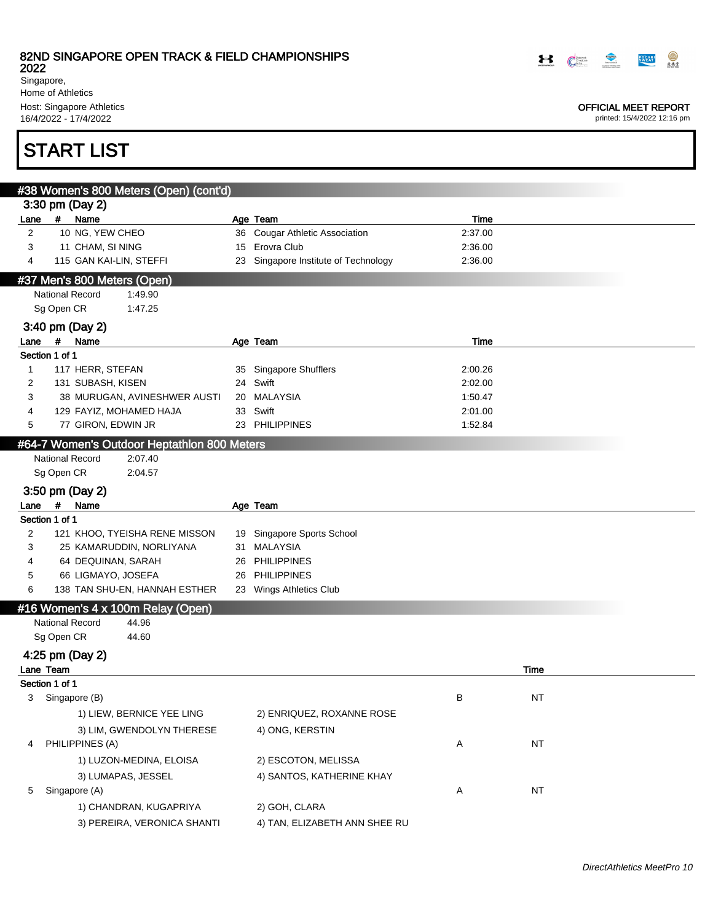2022 Singapore, Home of Athletics

Host: Singapore Athletics 16/4/2022 - 17/4/2022

# START LIST

|                |            | #38 Women's 800 Meters (Open) (cont'd)      |    |                                      |         |           |  |
|----------------|------------|---------------------------------------------|----|--------------------------------------|---------|-----------|--|
|                |            | 3:30 pm (Day 2)                             |    |                                      |         |           |  |
| Lane           | #          | Name                                        |    | Age Team                             | Time    |           |  |
| $\overline{2}$ |            | 10 NG, YEW CHEO                             |    | 36 Cougar Athletic Association       | 2:37.00 |           |  |
| 3              |            | 11 CHAM, SI NING                            | 15 | Erovra Club                          | 2:36.00 |           |  |
| 4              |            | 115 GAN KAI-LIN, STEFFI                     |    | 23 Singapore Institute of Technology | 2:36.00 |           |  |
|                |            | #37 Men's 800 Meters (Open)                 |    |                                      |         |           |  |
|                |            | <b>National Record</b><br>1:49.90           |    |                                      |         |           |  |
|                | Sg Open CR | 1:47.25                                     |    |                                      |         |           |  |
|                |            | 3:40 pm (Day 2)                             |    |                                      |         |           |  |
| Lane #         |            | Name                                        |    | Age Team                             | Time    |           |  |
| Section 1 of 1 |            |                                             |    |                                      |         |           |  |
| 1              |            | 117 HERR, STEFAN                            | 35 | <b>Singapore Shufflers</b>           | 2:00.26 |           |  |
| 2              |            | 131 SUBASH, KISEN                           |    | 24 Swift                             | 2:02.00 |           |  |
| 3              |            | 38 MURUGAN, AVINESHWER AUSTI                | 20 | MALAYSIA                             | 1:50.47 |           |  |
| 4              |            | 129 FAYIZ, MOHAMED HAJA                     |    | 33 Swift                             | 2:01.00 |           |  |
| 5              |            | 77 GIRON, EDWIN JR                          |    | 23 PHILIPPINES                       | 1:52.84 |           |  |
|                |            | #64-7 Women's Outdoor Heptathlon 800 Meters |    |                                      |         |           |  |
|                |            | <b>National Record</b><br>2:07.40           |    |                                      |         |           |  |
|                | Sg Open CR | 2:04.57                                     |    |                                      |         |           |  |
|                |            | 3:50 pm (Day 2)                             |    |                                      |         |           |  |
| Lane           | #          | Name                                        |    | Age Team                             |         |           |  |
| Section 1 of 1 |            |                                             |    |                                      |         |           |  |
| 2              |            | 121 KHOO, TYEISHA RENE MISSON               |    | 19 Singapore Sports School           |         |           |  |
| 3              |            | 25 KAMARUDDIN, NORLIYANA                    |    | 31 MALAYSIA                          |         |           |  |
| 4              |            | 64 DEQUINAN, SARAH                          | 26 | PHILIPPINES                          |         |           |  |
| 5              |            | 66 LIGMAYO, JOSEFA                          | 26 | <b>PHILIPPINES</b>                   |         |           |  |
| 6              |            | 138 TAN SHU-EN, HANNAH ESTHER               |    | 23 Wings Athletics Club              |         |           |  |
|                |            | #16 Women's 4 x 100m Relay (Open)           |    |                                      |         |           |  |
|                |            | <b>National Record</b><br>44.96             |    |                                      |         |           |  |
|                | Sg Open CR | 44.60                                       |    |                                      |         |           |  |
|                |            | 4:25 pm (Day 2)                             |    |                                      |         |           |  |
| Lane Team      |            |                                             |    |                                      |         | Time      |  |
| Section 1 of 1 |            |                                             |    |                                      |         |           |  |
| 3              |            | Singapore (B)                               |    |                                      | В       | <b>NT</b> |  |
|                |            | 1) LIEW, BERNICE YEE LING                   |    | 2) ENRIQUEZ, ROXANNE ROSE            |         |           |  |
|                |            | 3) LIM, GWENDOLYN THERESE                   |    | 4) ONG, KERSTIN                      |         |           |  |
| 4              |            | PHILIPPINES (A)                             |    |                                      | Α       | NT        |  |
|                |            | 1) LUZON-MEDINA, ELOISA                     |    | 2) ESCOTON, MELISSA                  |         |           |  |
|                |            | 3) LUMAPAS, JESSEL                          |    | 4) SANTOS, KATHERINE KHAY            |         |           |  |
| 5              |            | Singapore (A)                               |    |                                      | A       | NT        |  |
|                |            |                                             |    |                                      |         |           |  |
|                |            | 1) CHANDRAN, KUGAPRIYA                      |    | 2) GOH, CLARA                        |         |           |  |
|                |            | 3) PEREIRA, VERONICA SHANTI                 |    | 4) TAN, ELIZABETH ANN SHEE RU        |         |           |  |



### OFFICIAL MEET REPORT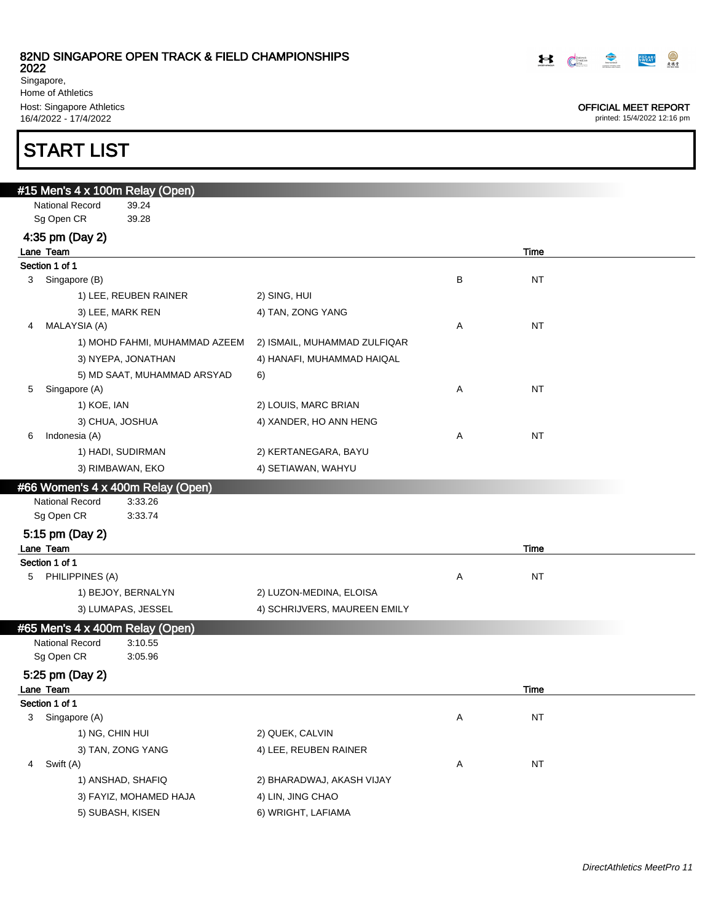2022

Singapore, Home of Athletics Host: Singapore Athletics 16/4/2022 - 17/4/2022

# START LIST

| #15 Men's 4 x 100m Relay (Open)   |                              |                |
|-----------------------------------|------------------------------|----------------|
| <b>National Record</b><br>39.24   |                              |                |
| Sg Open CR<br>39.28               |                              |                |
| 4:35 pm (Day 2)                   |                              |                |
| Lane Team                         |                              | Time           |
| Section 1 of 1                    |                              |                |
| Singapore (B)<br>3                |                              | В<br><b>NT</b> |
| 1) LEE, REUBEN RAINER             | 2) SING, HUI                 |                |
| 3) LEE, MARK REN                  | 4) TAN, ZONG YANG            |                |
| MALAYSIA (A)<br>4                 |                              | NT<br>Α        |
| 1) MOHD FAHMI, MUHAMMAD AZEEM     | 2) ISMAIL, MUHAMMAD ZULFIQAR |                |
| 3) NYEPA, JONATHAN                | 4) HANAFI, MUHAMMAD HAIQAL   |                |
| 5) MD SAAT, MUHAMMAD ARSYAD       | 6)                           |                |
| Singapore (A)<br>5                |                              | NT<br>Α        |
| 1) KOE, IAN                       | 2) LOUIS, MARC BRIAN         |                |
| 3) CHUA, JOSHUA                   | 4) XANDER, HO ANN HENG       |                |
| Indonesia (A)<br>6                |                              | <b>NT</b><br>Α |
| 1) HADI, SUDIRMAN                 | 2) KERTANEGARA, BAYU         |                |
| 3) RIMBAWAN, EKO                  | 4) SETIAWAN, WAHYU           |                |
| #66 Women's 4 x 400m Relay (Open) |                              |                |
| National Record<br>3:33.26        |                              |                |
| Sg Open CR<br>3:33.74             |                              |                |
| 5:15 pm (Day 2)                   |                              |                |
| Lane Team                         |                              | Time           |
| Section 1 of 1                    |                              |                |
| PHILIPPINES (A)<br>5              |                              | <b>NT</b><br>Α |
| 1) BEJOY, BERNALYN                | 2) LUZON-MEDINA, ELOISA      |                |
| 3) LUMAPAS, JESSEL                | 4) SCHRIJVERS, MAUREEN EMILY |                |
| #65 Men's 4 x 400m Relay (Open)   |                              |                |
| National Record<br>3:10.55        |                              |                |
| Sg Open CR<br>3:05.96             |                              |                |
| 5:25 pm (Day 2)                   |                              |                |
| Lane Team                         |                              | Time           |
| Section 1 of 1                    |                              |                |
| Singapore (A)<br>3                |                              | $\sf{NT}$<br>Α |
| 1) NG, CHIN HUI                   | 2) QUEK, CALVIN              |                |
| 3) TAN, ZONG YANG                 | 4) LEE, REUBEN RAINER        |                |
| Swift (A)<br>4                    |                              | NT<br>Α        |
| 1) ANSHAD, SHAFIQ                 | 2) BHARADWAJ, AKASH VIJAY    |                |
| 3) FAYIZ, MOHAMED HAJA            | 4) LIN, JING CHAO            |                |
| 5) SUBASH, KISEN                  | 6) WRIGHT, LAFIAMA           |                |



OFFICIAL MEET REPORT